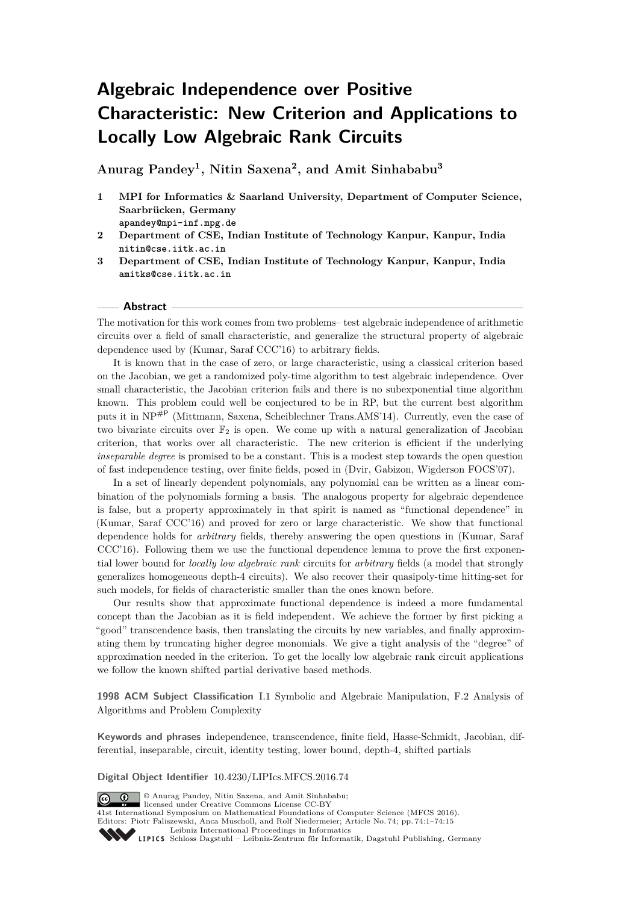# **Algebraic Independence over Positive Characteristic: New Criterion and Applications to Locally Low Algebraic Rank Circuits**

**Anurag Pandey<sup>1</sup> , Nitin Saxena<sup>2</sup> , and Amit Sinhababu<sup>3</sup>**

- **1 MPI for Informatics & Saarland University, Department of Computer Science, Saarbrücken, Germany apandey@mpi-inf.mpg.de**
- **2 Department of CSE, Indian Institute of Technology Kanpur, Kanpur, India nitin@cse.iitk.ac.in**
- **3 Department of CSE, Indian Institute of Technology Kanpur, Kanpur, India amitks@cse.iitk.ac.in**

#### **Abstract**

The motivation for this work comes from two problems– test algebraic independence of arithmetic circuits over a field of small characteristic, and generalize the structural property of algebraic dependence used by (Kumar, Saraf CCC'16) to arbitrary fields.

It is known that in the case of zero, or large characteristic, using a classical criterion based on the Jacobian, we get a randomized poly-time algorithm to test algebraic independence. Over small characteristic, the Jacobian criterion fails and there is no subexponential time algorithm known. This problem could well be conjectured to be in RP, but the current best algorithm puts it in NP#<sup>P</sup> (Mittmann, Saxena, Scheiblechner Trans.AMS'14). Currently, even the case of two bivariate circuits over  $\mathbb{F}_2$  is open. We come up with a natural generalization of Jacobian criterion, that works over all characteristic. The new criterion is efficient if the underlying *inseparable degree* is promised to be a constant. This is a modest step towards the open question of fast independence testing, over finite fields, posed in (Dvir, Gabizon, Wigderson FOCS'07).

In a set of linearly dependent polynomials, any polynomial can be written as a linear combination of the polynomials forming a basis. The analogous property for algebraic dependence is false, but a property approximately in that spirit is named as "functional dependence" in (Kumar, Saraf CCC'16) and proved for zero or large characteristic. We show that functional dependence holds for *arbitrary* fields, thereby answering the open questions in (Kumar, Saraf CCC'16). Following them we use the functional dependence lemma to prove the first exponential lower bound for *locally low algebraic rank* circuits for *arbitrary* fields (a model that strongly generalizes homogeneous depth-4 circuits). We also recover their quasipoly-time hitting-set for such models, for fields of characteristic smaller than the ones known before.

Our results show that approximate functional dependence is indeed a more fundamental concept than the Jacobian as it is field independent. We achieve the former by first picking a "good" transcendence basis, then translating the circuits by new variables, and finally approximating them by truncating higher degree monomials. We give a tight analysis of the "degree" of approximation needed in the criterion. To get the locally low algebraic rank circuit applications we follow the known shifted partial derivative based methods.

**1998 ACM Subject Classification** I.1 Symbolic and Algebraic Manipulation, F.2 Analysis of Algorithms and Problem Complexity

**Keywords and phrases** independence, transcendence, finite field, Hasse-Schmidt, Jacobian, differential, inseparable, circuit, identity testing, lower bound, depth-4, shifted partials

**Digital Object Identifier** [10.4230/LIPIcs.MFCS.2016.74](http://dx.doi.org/10.4230/LIPIcs.MFCS.2016.74)

licensed under Creative Commons License CC-BY



41st International Symposium on Mathematical Foundations of Computer Science (MFCS 2016). Editors: Piotr Faliszewski, Anca Muscholl, and Rolf Niedermeier; Article No. 74; pp. 74:1–74[:15](#page-14-0) [Leibniz International Proceedings in Informatics](http://www.dagstuhl.de/lipics/) Leibniz international riveredings in miximetrix<br>
LIPICS [Schloss Dagstuhl – Leibniz-Zentrum für Informatik, Dagstuhl Publishing, Germany](http://www.dagstuhl.de)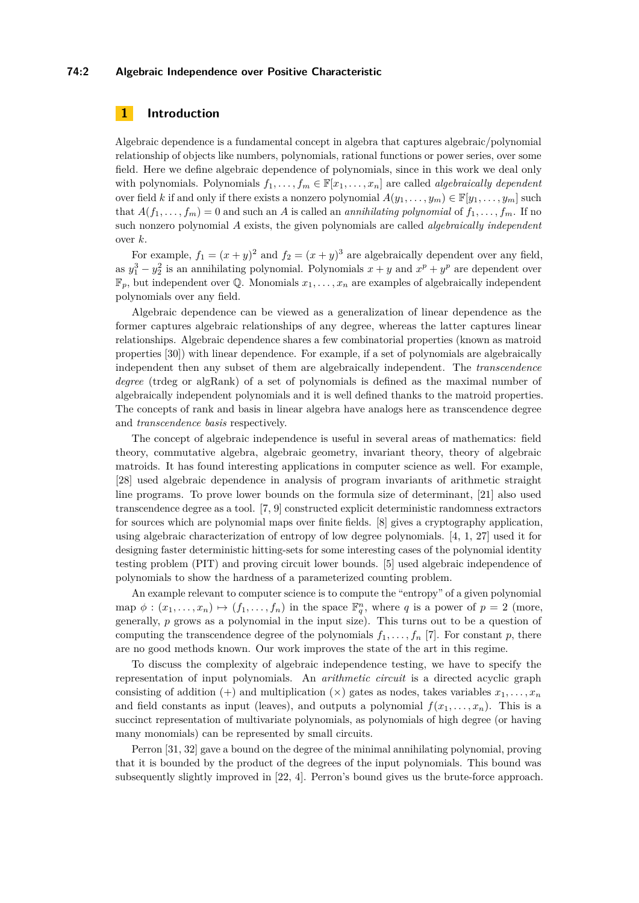#### **74:2 Algebraic Independence over Positive Characteristic**

# **1 Introduction**

Algebraic dependence is a fundamental concept in algebra that captures algebraic/polynomial relationship of objects like numbers, polynomials, rational functions or power series, over some field. Here we define algebraic dependence of polynomials, since in this work we deal only with polynomials. Polynomials  $f_1, \ldots, f_m \in \mathbb{F}[x_1, \ldots, x_n]$  are called *algebraically dependent* over field *k* if and only if there exists a nonzero polynomial  $A(y_1, \ldots, y_m) \in \mathbb{F}[y_1, \ldots, y_m]$  such that  $A(f_1, \ldots, f_m) = 0$  and such an *A* is called an *annihilating polynomial* of  $f_1, \ldots, f_m$ . If no such nonzero polynomial *A* exists, the given polynomials are called *algebraically independent* over *k*.

For example,  $f_1 = (x + y)^2$  and  $f_2 = (x + y)^3$  are algebraically dependent over any field, as  $y_1^3 - y_2^2$  is an annihilating polynomial. Polynomials  $x + y$  and  $x^p + y^p$  are dependent over  $\mathbb{F}_p$ , but independent over Q. Monomials  $x_1, \ldots, x_n$  are examples of algebraically independent polynomials over any field.

Algebraic dependence can be viewed as a generalization of linear dependence as the former captures algebraic relationships of any degree, whereas the latter captures linear relationships. Algebraic dependence shares a few combinatorial properties (known as matroid properties [\[30\]](#page-13-0)) with linear dependence. For example, if a set of polynomials are algebraically independent then any subset of them are algebraically independent. The *transcendence degree* (trdeg or algRank) of a set of polynomials is defined as the maximal number of algebraically independent polynomials and it is well defined thanks to the matroid properties. The concepts of rank and basis in linear algebra have analogs here as transcendence degree and *transcendence basis* respectively.

The concept of algebraic independence is useful in several areas of mathematics: field theory, commutative algebra, algebraic geometry, invariant theory, theory of algebraic matroids. It has found interesting applications in computer science as well. For example, [\[28\]](#page-13-1) used algebraic dependence in analysis of program invariants of arithmetic straight line programs. To prove lower bounds on the formula size of determinant, [\[21\]](#page-13-2) also used transcendence degree as a tool. [\[7,](#page-12-0) [9\]](#page-12-1) constructed explicit deterministic randomness extractors for sources which are polynomial maps over finite fields. [\[8\]](#page-12-2) gives a cryptography application, using algebraic characterization of entropy of low degree polynomials. [\[4,](#page-12-3) [1,](#page-12-4) [27\]](#page-13-3) used it for designing faster deterministic hitting-sets for some interesting cases of the polynomial identity testing problem (PIT) and proving circuit lower bounds. [\[5\]](#page-12-5) used algebraic independence of polynomials to show the hardness of a parameterized counting problem.

An example relevant to computer science is to compute the "entropy" of a given polynomial map  $\phi: (x_1, \ldots, x_n) \mapsto (f_1, \ldots, f_n)$  in the space  $\mathbb{F}_q^n$ , where *q* is a power of  $p = 2$  (more, generally, *p* grows as a polynomial in the input size). This turns out to be a question of computing the transcendence degree of the polynomials  $f_1, \ldots, f_n$  [\[7\]](#page-12-0). For constant  $p$ , there are no good methods known. Our work improves the state of the art in this regime.

To discuss the complexity of algebraic independence testing, we have to specify the representation of input polynomials. An *arithmetic circuit* is a directed acyclic graph consisting of addition  $(+)$  and multiplication  $(\times)$  gates as nodes, takes variables  $x_1, \ldots, x_n$ and field constants as input (leaves), and outputs a polynomial  $f(x_1, \ldots, x_n)$ . This is a succinct representation of multivariate polynomials, as polynomials of high degree (or having many monomials) can be represented by small circuits.

Perron [\[31,](#page-13-4) [32\]](#page-13-5) gave a bound on the degree of the minimal annihilating polynomial, proving that it is bounded by the product of the degrees of the input polynomials. This bound was subsequently slightly improved in [\[22,](#page-13-6) [4\]](#page-12-3). Perron's bound gives us the brute-force approach.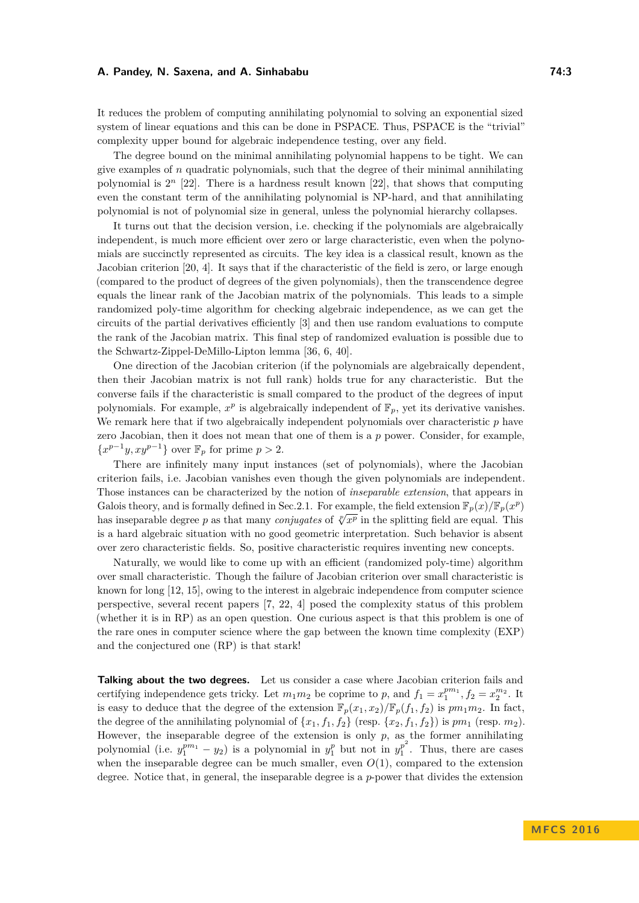It reduces the problem of computing annihilating polynomial to solving an exponential sized system of linear equations and this can be done in PSPACE. Thus, PSPACE is the "trivial" complexity upper bound for algebraic independence testing, over any field.

The degree bound on the minimal annihilating polynomial happens to be tight. We can give examples of *n* quadratic polynomials, such that the degree of their minimal annihilating polynomial is  $2^n$  [\[22\]](#page-13-6). There is a hardness result known [22], that shows that computing even the constant term of the annihilating polynomial is NP-hard, and that annihilating polynomial is not of polynomial size in general, unless the polynomial hierarchy collapses.

It turns out that the decision version, i.e. checking if the polynomials are algebraically independent, is much more efficient over zero or large characteristic, even when the polynomials are succinctly represented as circuits. The key idea is a classical result, known as the Jacobian criterion [\[20,](#page-13-7) [4\]](#page-12-3). It says that if the characteristic of the field is zero, or large enough (compared to the product of degrees of the given polynomials), then the transcendence degree equals the linear rank of the Jacobian matrix of the polynomials. This leads to a simple randomized poly-time algorithm for checking algebraic independence, as we can get the circuits of the partial derivatives efficiently [\[3\]](#page-12-6) and then use random evaluations to compute the rank of the Jacobian matrix. This final step of randomized evaluation is possible due to the Schwartz-Zippel-DeMillo-Lipton lemma [\[36,](#page-13-8) [6,](#page-12-7) [40\]](#page-14-1).

One direction of the Jacobian criterion (if the polynomials are algebraically dependent, then their Jacobian matrix is not full rank) holds true for any characteristic. But the converse fails if the characteristic is small compared to the product of the degrees of input polynomials. For example,  $x^p$  is algebraically independent of  $\mathbb{F}_p$ , yet its derivative vanishes. We remark here that if two algebraically independent polynomials over characteristic p have zero Jacobian, then it does not mean that one of them is a *p* power. Consider, for example,  $\{x^{p-1}y, xy^{p-1}\}\text{ over }\mathbb{F}_p\text{ for prime }p>2.$ 

There are infinitely many input instances (set of polynomials), where the Jacobian criterion fails, i.e. Jacobian vanishes even though the given polynomials are independent. Those instances can be characterized by the notion of *inseparable extension*, that appears in Galois theory, and is formally defined in Sec. 2.1. For example, the field extension  $\mathbb{F}_p(x)/\mathbb{F}_p(x^p)$ bas inseparable degree *p* as that many *conjugates* of  $\sqrt[p]{x^p}$  in the splitting field are equal. This is a hard algebraic situation with no good geometric interpretation. Such behavior is absent over zero characteristic fields. So, positive characteristic requires inventing new concepts.

Naturally, we would like to come up with an efficient (randomized poly-time) algorithm over small characteristic. Though the failure of Jacobian criterion over small characteristic is known for long [\[12,](#page-12-8) [15\]](#page-13-9), owing to the interest in algebraic independence from computer science perspective, several recent papers [\[7,](#page-12-0) [22,](#page-13-6) [4\]](#page-12-3) posed the complexity status of this problem (whether it is in RP) as an open question. One curious aspect is that this problem is one of the rare ones in computer science where the gap between the known time complexity (EXP) and the conjectured one (RP) is that stark!

**Talking about the two degrees.** Let us consider a case where Jacobian criterion fails and certifying independence gets tricky. Let  $m_1m_2$  be coprime to *p*, and  $f_1 = x_1^{pm_1}, f_2 = x_2^{m_2}$ . It is easy to deduce that the degree of the extension  $\mathbb{F}_p(x_1, x_2)/\mathbb{F}_p(f_1, f_2)$  is  $pm_1m_2$ . In fact, the degree of the annihilating polynomial of  $\{x_1, f_1, f_2\}$  (resp.  $\{x_2, f_1, f_2\}$ ) is  $pm_1$  (resp.  $m_2$ ). However, the inseparable degree of the extension is only  $p$ , as the former annihilating polynomial (i.e.  $y_1^{pm_1} - y_2$ ) is a polynomial in  $y_1^p$  but not in  $y_1^{p^2}$  $n_1^p$ . Thus, there are cases when the inseparable degree can be much smaller, even  $O(1)$ , compared to the extension degree. Notice that, in general, the inseparable degree is a *p*-power that divides the extension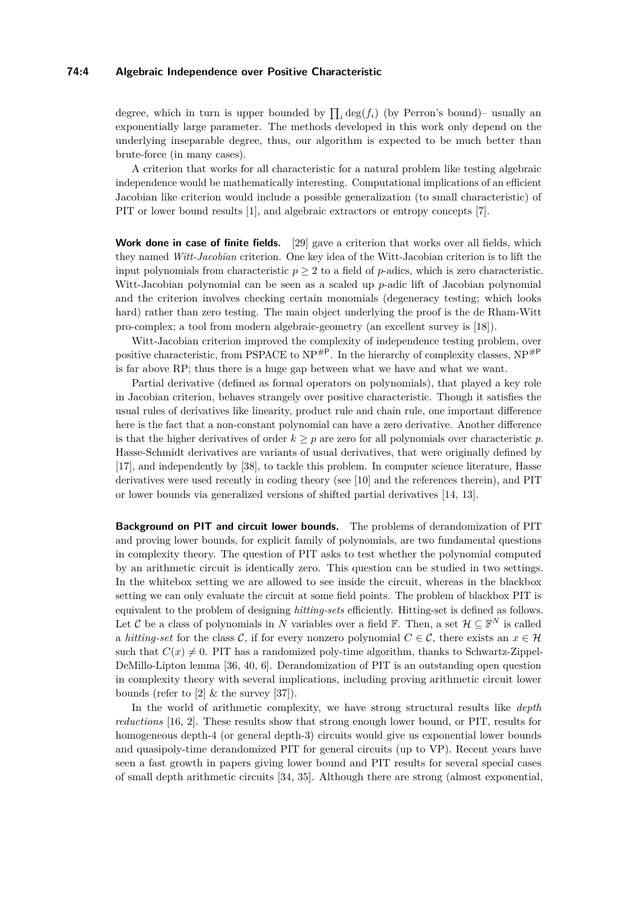#### **74:4 Algebraic Independence over Positive Characteristic**

degree, which in turn is upper bounded by  $\prod_i \deg(f_i)$  (by Perron's bound)– usually an exponentially large parameter. The methods developed in this work only depend on the underlying inseparable degree, thus, our algorithm is expected to be much better than brute-force (in many cases).

A criterion that works for all characteristic for a natural problem like testing algebraic independence would be mathematically interesting. Computational implications of an efficient Jacobian like criterion would include a possible generalization (to small characteristic) of PIT or lower bound results [\[1\]](#page-12-4), and algebraic extractors or entropy concepts [\[7\]](#page-12-0).

**Work done in case of finite fields.** [\[29\]](#page-13-10) gave a criterion that works over all fields, which they named *Witt-Jacobian* criterion. One key idea of the Witt-Jacobian criterion is to lift the input polynomials from characteristic  $p \geq 2$  to a field of *p*-adics, which is zero characteristic. Witt-Jacobian polynomial can be seen as a scaled up *p*-adic lift of Jacobian polynomial and the criterion involves checking certain monomials (degeneracy testing; which looks hard) rather than zero testing. The main object underlying the proof is the de Rham-Witt pro-complex; a tool from modern algebraic-geometry (an excellent survey is [\[18\]](#page-13-11)).

Witt-Jacobian criterion improved the complexity of independence testing problem, over positive characteristic, from PSPACE to  $NP^{HP}$ . In the hierarchy of complexity classes,  $NP^{HP}$ is far above RP; thus there is a huge gap between what we have and what we want.

Partial derivative (defined as formal operators on polynomials), that played a key role in Jacobian criterion, behaves strangely over positive characteristic. Though it satisfies the usual rules of derivatives like linearity, product rule and chain rule, one important difference here is the fact that a non-constant polynomial can have a zero derivative. Another difference is that the higher derivatives of order  $k \geq p$  are zero for all polynomials over characteristic p. Hasse-Schmidt derivatives are variants of usual derivatives, that were originally defined by [\[17\]](#page-13-12), and independently by [\[38\]](#page-14-2), to tackle this problem. In computer science literature, Hasse derivatives were used recently in coding theory (see [\[10\]](#page-12-9) and the references therein), and PIT or lower bounds via generalized versions of shifted partial derivatives [\[14,](#page-12-10) [13\]](#page-12-11).

**Background on PIT and circuit lower bounds.** The problems of derandomization of PIT and proving lower bounds, for explicit family of polynomials, are two fundamental questions in complexity theory. The question of PIT asks to test whether the polynomial computed by an arithmetic circuit is identically zero. This question can be studied in two settings. In the whitebox setting we are allowed to see inside the circuit, whereas in the blackbox setting we can only evaluate the circuit at some field points. The problem of blackbox PIT is equivalent to the problem of designing *hitting-sets* efficiently. Hitting-set is defined as follows. Let C be a class of polynomials in N variables over a field  $\mathbb{F}$ . Then, a set  $\mathcal{H} \subseteq \mathbb{F}^N$  is called a *hitting-set* for the class C, if for every nonzero polynomial  $C \in \mathcal{C}$ , there exists an  $x \in \mathcal{H}$ such that  $C(x) \neq 0$ . PIT has a randomized poly-time algorithm, thanks to Schwartz-Zippel-DeMillo-Lipton lemma [\[36,](#page-13-8) [40,](#page-14-1) [6\]](#page-12-7). Derandomization of PIT is an outstanding open question in complexity theory with several implications, including proving arithmetic circuit lower bounds (refer to [\[2\]](#page-12-12)  $\&$  the survey [\[37\]](#page-14-3)).

In the world of arithmetic complexity, we have strong structural results like *depth reductions* [\[16,](#page-13-13) [2\]](#page-12-12). These results show that strong enough lower bound, or PIT, results for homogeneous depth-4 (or general depth-3) circuits would give us exponential lower bounds and quasipoly-time derandomized PIT for general circuits (up to VP). Recent years have seen a fast growth in papers giving lower bound and PIT results for several special cases of small depth arithmetic circuits [\[34,](#page-13-14) [35\]](#page-13-15). Although there are strong (almost exponential,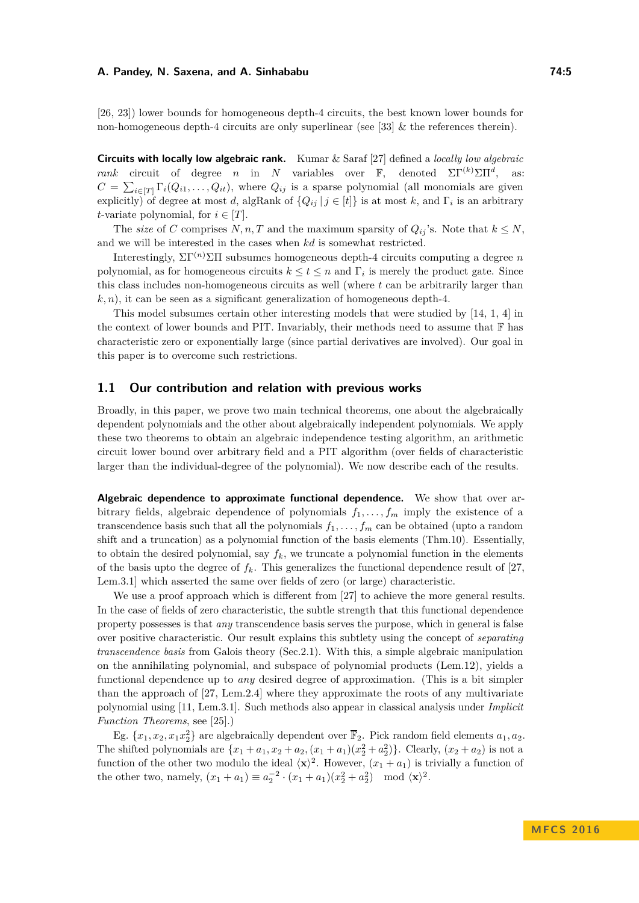[\[26,](#page-13-16) [23\]](#page-13-17)) lower bounds for homogeneous depth-4 circuits, the best known lower bounds for non-homogeneous depth-4 circuits are only superlinear (see [\[33\]](#page-13-18)  $\&$  the references therein).

**Circuits with locally low algebraic rank.** Kumar & Saraf [\[27\]](#page-13-3) defined a *locally low algebraic rank* circuit of degree *n* in *N* variables over F, denoted  $\Sigma \Gamma^{(k)} \Sigma \Pi^{d}$ , as:  $C = \sum_{i \in [T]} \Gamma_i(Q_{i1}, \ldots, Q_{it})$ , where  $Q_{ij}$  is a sparse polynomial (all monomials are given explicitly) of degree at most *d*, algRank of  ${Q_{ij} | j \in [t]}$  is at most *k*, and  $\Gamma_i$  is an arbitrary *t*-variate polynomial, for  $i \in [T]$ .

The *size* of *C* comprises *N, n, T* and the maximum sparsity of  $Q_{ij}$ 's. Note that  $k \leq N$ , and we will be interested in the cases when *kd* is somewhat restricted.

Interestingly,  $\Sigma\Gamma^{(n)}\Sigma\Pi$  subsumes homogeneous depth-4 circuits computing a degree  $n$ polynomial, as for homogeneous circuits  $k \le t \le n$  and  $\Gamma_i$  is merely the product gate. Since this class includes non-homogeneous circuits as well (where *t* can be arbitrarily larger than  $k, n$ , it can be seen as a significant generalization of homogeneous depth-4.

This model subsumes certain other interesting models that were studied by [\[14,](#page-12-10) [1,](#page-12-4) [4\]](#page-12-3) in the context of lower bounds and PIT. Invariably, their methods need to assume that  $\mathbb F$  has characteristic zero or exponentially large (since partial derivatives are involved). Our goal in this paper is to overcome such restrictions.

## **1.1 Our contribution and relation with previous works**

Broadly, in this paper, we prove two main technical theorems, one about the algebraically dependent polynomials and the other about algebraically independent polynomials. We apply these two theorems to obtain an algebraic independence testing algorithm, an arithmetic circuit lower bound over arbitrary field and a PIT algorithm (over fields of characteristic larger than the individual-degree of the polynomial). We now describe each of the results.

**Algebraic dependence to approximate functional dependence.** We show that over arbitrary fields, algebraic dependence of polynomials  $f_1, \ldots, f_m$  imply the existence of a transcendence basis such that all the polynomials  $f_1, \ldots, f_m$  can be obtained (upto a random shift and a truncation) as a polynomial function of the basis elements (Thm[.10\)](#page-9-0). Essentially, to obtain the desired polynomial, say  $f_k$ , we truncate a polynomial function in the elements of the basis upto the degree of  $f_k$ . This generalizes the functional dependence result of [\[27,](#page-13-3) Lem.3.1] which asserted the same over fields of zero (or large) characteristic.

We use a proof approach which is different from [\[27\]](#page-13-3) to achieve the more general results. In the case of fields of zero characteristic, the subtle strength that this functional dependence property possesses is that *any* transcendence basis serves the purpose, which in general is false over positive characteristic. Our result explains this subtlety using the concept of *separating transcendence basis* from Galois theory (Sec[.2.1\)](#page-7-0). With this, a simple algebraic manipulation on the annihilating polynomial, and subspace of polynomial products (Lem[.12\)](#page-10-0), yields a functional dependence up to *any* desired degree of approximation. (This is a bit simpler than the approach of [\[27,](#page-13-3) Lem.2.4] where they approximate the roots of any multivariate polynomial using [\[11,](#page-12-13) Lem.3.1]. Such methods also appear in classical analysis under *Implicit Function Theorems*, see [\[25\]](#page-13-19).)

Eg.  $\{x_1, x_2, x_1x_2^2\}$  are algebraically dependent over  $\overline{\mathbb{F}}_2$ . Pick random field elements  $a_1, a_2$ . The shifted polynomials are  $\{x_1 + a_1, x_2 + a_2, (x_1 + a_1)(x_2^2 + a_2^2)\}\.$  Clearly,  $(x_2 + a_2)$  is not a function of the other two modulo the ideal  $\langle \mathbf{x} \rangle^2$ . However,  $(x_1 + a_1)$  is trivially a function of the other two, namely,  $(x_1 + a_1) \equiv a_2^{-2} \cdot (x_1 + a_1)(x_2^2 + a_2^2) \mod \langle \mathbf{x} \rangle^2$ .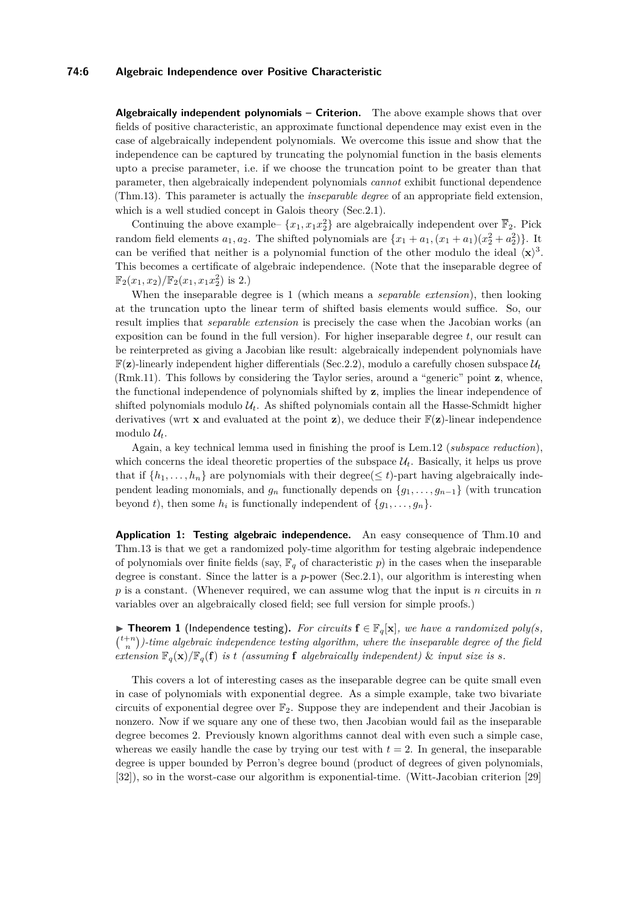#### **74:6 Algebraic Independence over Positive Characteristic**

**Algebraically independent polynomials – Criterion.** The above example shows that over fields of positive characteristic, an approximate functional dependence may exist even in the case of algebraically independent polynomials. We overcome this issue and show that the independence can be captured by truncating the polynomial function in the basis elements upto a precise parameter, i.e. if we choose the truncation point to be greater than that parameter, then algebraically independent polynomials *cannot* exhibit functional dependence (Thm[.13\)](#page-11-0). This parameter is actually the *inseparable degree* of an appropriate field extension, which is a well studied concept in Galois theory (Sec. 2.1).

Continuing the above example–  $\{x_1, x_1x_2\}$  are algebraically independent over  $\overline{\mathbb{F}}_2$ . Pick random field elements  $a_1, a_2$ . The shifted polynomials are  $\{x_1 + a_1, (x_1 + a_1)(x_2^2 + a_2^2)\}$ . It can be verified that neither is a polynomial function of the other modulo the ideal  $\langle x \rangle^3$ . This becomes a certificate of algebraic independence. (Note that the inseparable degree of  $\mathbb{F}_2(x_1, x_2)/\mathbb{F}_2(x_1, x_1x_2^2)$  is 2.)

When the inseparable degree is 1 (which means a *separable extension*), then looking at the truncation upto the linear term of shifted basis elements would suffice. So, our result implies that *separable extension* is precisely the case when the Jacobian works (an exposition can be found in the full version). For higher inseparable degree *t*, our result can be reinterpreted as giving a Jacobian like result: algebraically independent polynomials have  $\mathbb{F}(\mathbf{z})$ -linearly independent higher differentials (Sec[.2.2\)](#page-8-0), modulo a carefully chosen subspace  $\mathcal{U}_t$ (Rmk[.11\)](#page-9-1). This follows by considering the Taylor series, around a "generic" point **z**, whence, the functional independence of polynomials shifted by **z**, implies the linear independence of shifted polynomials modulo  $\mathcal{U}_t$ . As shifted polynomials contain all the Hasse-Schmidt higher derivatives (wrt **x** and evaluated at the point **z**), we deduce their  $\mathbb{F}(\mathbf{z})$ -linear independence modulo  $\mathcal{U}_t$ .

Again, a key technical lemma used in finishing the proof is Lem[.12](#page-10-0) (*subspace reduction*), which concerns the ideal theoretic properties of the subspace  $\mathcal{U}_t$ . Basically, it helps us prove that if  $\{h_1, \ldots, h_n\}$  are polynomials with their degree( $\leq t$ )-part having algebraically independent leading monomials, and  $g_n$  functionally depends on  $\{g_1, \ldots, g_{n-1}\}$  (with truncation beyond *t*), then some  $h_i$  is functionally independent of  $\{g_1, \ldots, g_n\}$ .

**Application 1: Testing algebraic independence.** An easy consequence of Thm[.10](#page-9-0) and Thm[.13](#page-11-0) is that we get a randomized poly-time algorithm for testing algebraic independence of polynomials over finite fields (say,  $\mathbb{F}_q$  of characteristic p) in the cases when the inseparable degree is constant. Since the latter is a *p*-power (Sec[.2.1\)](#page-7-0), our algorithm is interesting when *p* is a constant. (Whenever required, we can assume wlog that the input is *n* circuits in *n* variables over an algebraically closed field; see full version for simple proofs.)

▶ **Theorem 1** (Independence testing). For circuits  $f \in \mathbb{F}_q[x]$ *, we have a randomized poly(s,*  $\binom{t+n}{n}$ -time algebraic independence testing algorithm, where the inseparable degree of the field *extension*  $\mathbb{F}_q(\mathbf{x})/\mathbb{F}_q(\mathbf{f})$  *is t (assuming* **f** *algebraically independent)* & *input size is s.* 

This covers a lot of interesting cases as the inseparable degree can be quite small even in case of polynomials with exponential degree. As a simple example, take two bivariate circuits of exponential degree over  $\mathbb{F}_2$ . Suppose they are independent and their Jacobian is nonzero. Now if we square any one of these two, then Jacobian would fail as the inseparable degree becomes 2. Previously known algorithms cannot deal with even such a simple case, whereas we easily handle the case by trying our test with  $t = 2$ . In general, the inseparable degree is upper bounded by Perron's degree bound (product of degrees of given polynomials, [\[32\]](#page-13-5)), so in the worst-case our algorithm is exponential-time. (Witt-Jacobian criterion [\[29\]](#page-13-10)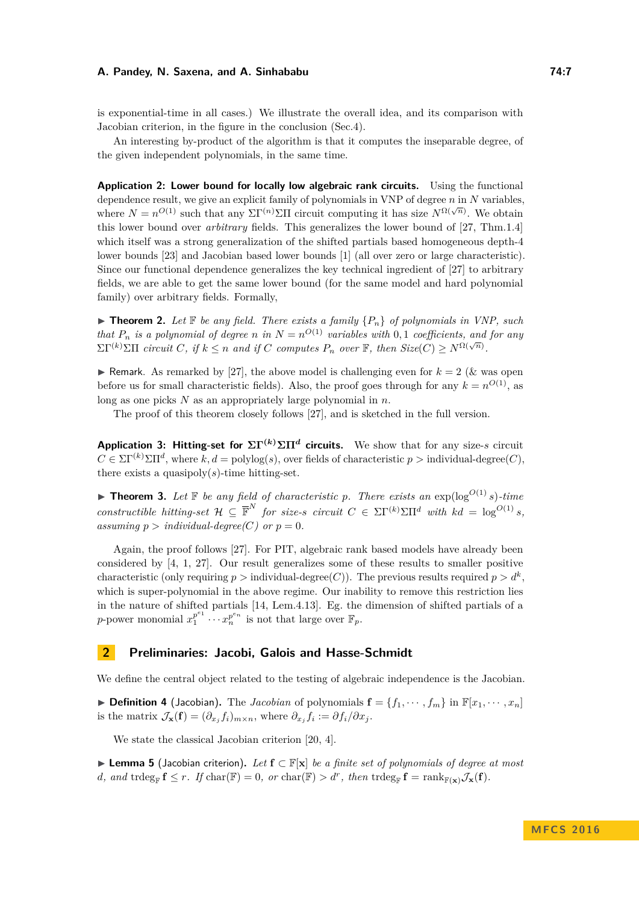is exponential-time in all cases.) We illustrate the overall idea, and its comparison with Jacobian criterion, in the figure in the conclusion (Sec[.4\)](#page-11-1).

An interesting by-product of the algorithm is that it computes the inseparable degree, of the given independent polynomials, in the same time.

**Application 2: Lower bound for locally low algebraic rank circuits.** Using the functional dependence result, we give an explicit family of polynomials in VNP of degree *n* in *N* variables, where  $N = n^{O(1)}$  such that any  $\Sigma \Gamma^{(n)} \Sigma \Pi$  circuit computing it has size  $N^{\Omega(\sqrt{n})}$ . We obtain this lower bound over *arbitrary* fields. This generalizes the lower bound of [\[27,](#page-13-3) Thm.1.4] which itself was a strong generalization of the shifted partials based homogeneous depth-4 lower bounds [\[23\]](#page-13-17) and Jacobian based lower bounds [\[1\]](#page-12-4) (all over zero or large characteristic). Since our functional dependence generalizes the key technical ingredient of [\[27\]](#page-13-3) to arbitrary fields, we are able to get the same lower bound (for the same model and hard polynomial family) over arbitrary fields. Formally,

 $\triangleright$  **Theorem 2.** Let  $\mathbb F$  be any field. There exists a family  $\{P_n\}$  of polynomials in VNP, such *that*  $P_n$  *is a polynomial of degree n in*  $N = n^{O(1)}$  *variables with* 0*,* 1 *coefficients, and for any*  $\sum \Gamma^{(k)} \sum \prod$  *circuit C, if*  $k \leq n$  and if *C computes*  $P_n$  *over*  $\mathbb{F}$ *, then Size*(*C*)  $\geq N^{\Omega(\sqrt{n})}$ .

**If Remark.** As remarked by [\[27\]](#page-13-3), the above model is challenging even for  $k = 2$  ( $\&$  was open before us for small characteristic fields). Also, the proof goes through for any  $k = n^{O(1)}$ , as long as one picks *N* as an appropriately large polynomial in *n*.

The proof of this theorem closely follows [\[27\]](#page-13-3), and is sketched in the full version.

**Application 3: Hitting-set for**  $\Sigma\Gamma^{(k)}\Sigma\Pi^{d}$  **circuits.** We show that for any size-*s* circuit  $C \in \Sigma \Gamma^{(k)} \Sigma \Pi^d$ , where  $k, d = \text{polylog}(s)$ , over fields of characteristic  $p > \text{individual-degree}(C)$ , there exists a quasipoly $(s)$ -time hitting-set.

 $\blacktriangleright$  **Theorem 3.** Let  $\mathbb F$  be any field of characteristic p. There exists an  $\exp(\log^{O(1)} s)$ -time *constructible hitting-set*  $\mathcal{H} \subseteq \overline{\mathbb{F}}^N$  *for size-s circuit*  $C \in \Sigma \Gamma^{(k)} \Sigma \Pi^d$  *with*  $kd = \log^{O(1)} s$ , *assuming*  $p > individual-degree(C)$  *or*  $p = 0$ *.* 

Again, the proof follows [\[27\]](#page-13-3). For PIT, algebraic rank based models have already been considered by [\[4,](#page-12-3) [1,](#page-12-4) [27\]](#page-13-3). Our result generalizes some of these results to smaller positive characteristic (only requiring  $p >$  individual-degree(C)). The previous results required  $p > d^k$ , which is super-polynomial in the above regime. Our inability to remove this restriction lies in the nature of shifted partials [\[14,](#page-12-10) Lem.4.13]. Eg. the dimension of shifted partials of a *p*-power monomial  $x_1^{p^{e_1}}$  $x_1^{p^{e_1}} \cdots x_n^{p^{e_n}}$  is not that large over  $\mathbb{F}_p$ .

## **2 Preliminaries: Jacobi, Galois and Hasse-Schmidt**

We define the central object related to the testing of algebraic independence is the Jacobian.

 $\triangleright$  **Definition 4** (Jacobian). The *Jacobian* of polynomials  $\mathbf{f} = \{f_1, \dots, f_m\}$  in  $\mathbb{F}[x_1, \dots, x_n]$ is the matrix  $\mathcal{J}_{\mathbf{x}}(\mathbf{f}) = (\partial_{x_j} f_i)_{m \times n}$ , where  $\partial_{x_j} f_i := \partial f_i / \partial x_j$ .

We state the classical Jacobian criterion [\[20,](#page-13-7) [4\]](#page-12-3).

I **Lemma 5** (Jacobian criterion)**.** *Let* **f** ⊂ F[**x**] *be a finite set of polynomials of degree at most*  $d$ *, and* trdeg<sub>F</sub>  $f \leq r$ *. If* char(F) = 0*, or* char(F) >  $d^r$ *, then* trdeg<sub>F</sub>  $f = \text{rank}_{F(\mathbf{x})} \mathcal{J}_{\mathbf{x}}(f)$ *.*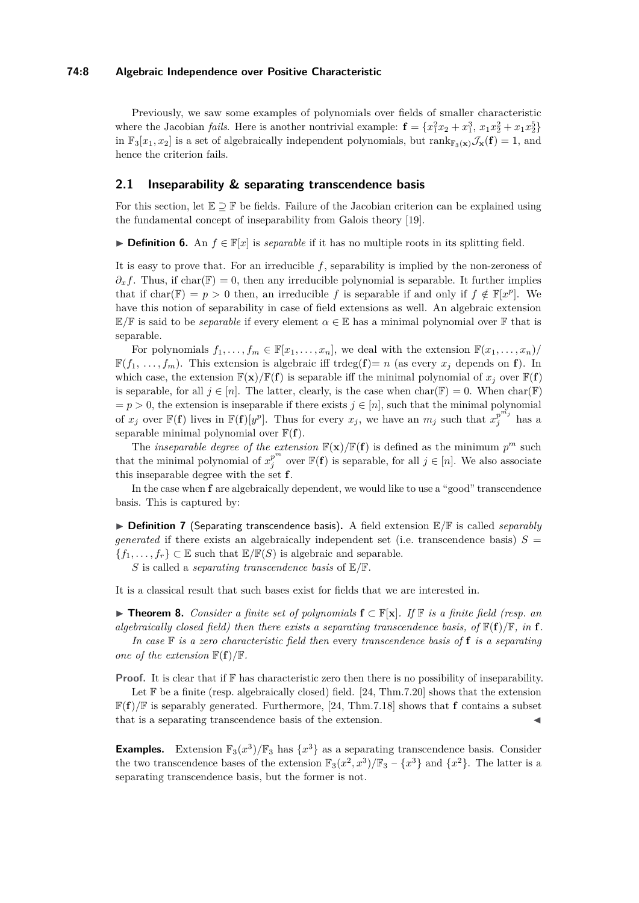#### **74:8 Algebraic Independence over Positive Characteristic**

Previously, we saw some examples of polynomials over fields of smaller characteristic where the Jacobian *fails*. Here is another nontrivial example:  $\mathbf{f} = \{x_1^2x_2 + x_1^3, x_1x_2^2 + x_1x_2^5\}$ in  $\mathbb{F}_3[x_1, x_2]$  is a set of algebraically independent polynomials, but rank $\mathbb{F}_3(\mathbf{x})\mathcal{J}_\mathbf{x}(\mathbf{f}) = 1$ , and hence the criterion fails.

## <span id="page-7-0"></span>**2.1 Inseparability & separating transcendence basis**

For this section, let  $\mathbb{E} \supset \mathbb{F}$  be fields. Failure of the Jacobian criterion can be explained using the fundamental concept of inseparability from Galois theory [\[19\]](#page-13-20).

**► Definition 6.** An  $f \in \mathbb{F}[x]$  is *separable* if it has no multiple roots in its splitting field.

It is easy to prove that. For an irreducible *f*, separability is implied by the non-zeroness of  $\partial_x f$ . Thus, if char(F) = 0, then any irreducible polynomial is separable. It further implies that if char( $\mathbb{F}$ ) = *p* > 0 then, an irreducible *f* is separable if and only if  $f \notin \mathbb{F}[x^p]$ . We have this notion of separability in case of field extensions as well. An algebraic extension  $E/F$  is said to be *separable* if every element  $\alpha \in E$  has a minimal polynomial over F that is separable.

For polynomials  $f_1, \ldots, f_m \in \mathbb{F}[x_1, \ldots, x_n]$ , we deal with the extension  $\mathbb{F}(x_1, \ldots, x_n)$ /  $\mathbb{F}(f_1, \ldots, f_m)$ . This extension is algebraic iff trdeg(**f**)= *n* (as every  $x_j$  depends on **f**). In which case, the extension  $\mathbb{F}(\mathbf{x})/\mathbb{F}(\mathbf{f})$  is separable iff the minimal polynomial of  $x_j$  over  $\mathbb{F}(\mathbf{f})$ is separable, for all  $j \in [n]$ . The latter, clearly, is the case when  $char(\mathbb{F}) = 0$ . When  $char(\mathbb{F})$  $= p > 0$ , the extension is inseparable if there exists  $j \in [n]$ , such that the minimal polynomial of  $x_j$  over  $\mathbb{F}(\mathbf{f})$  lives in  $\mathbb{F}(\mathbf{f})[y^p]$ . Thus for every  $x_j$ , we have an  $m_j$  such that  $x_j^{p^{m_j}}$  $\frac{p}{j}$  has a separable minimal polynomial over  $\mathbb{F}(\mathbf{f})$ .

The *inseparable degree of the extension*  $\mathbb{F}(\mathbf{x})/\mathbb{F}(\mathbf{f})$  is defined as the minimum  $p^m$  such that the minimal polynomial of  $x_j^{p^m}$  over  $\mathbb{F}(\mathbf{f})$  is separable, for all  $j \in [n]$ . We also associate this inseparable degree with the set **f**.

In the case when **f** are algebraically dependent, we would like to use a "good" transcendence basis. This is captured by:

▶ Definition 7 (Separating transcendence basis). A field extension  $\mathbb{E}/\mathbb{F}$  is called *separably generated* if there exists an algebraically independent set (i.e. transcendence basis)  $S =$  ${f_1, \ldots, f_r} \subset \mathbb{E}$  such that  $\mathbb{E}/\mathbb{F}(S)$  is algebraic and separable.

*S* is called a *separating transcendence basis* of E*/*F.

It is a classical result that such bases exist for fields that we are interested in.

<span id="page-7-1"></span>I **Theorem 8.** *Consider a finite set of polynomials* **f** ⊂ F[**x**]*. If* F *is a finite field (resp. an algebraically closed field) then there exists a separating transcendence basis, of*  $\mathbb{F}(\mathbf{f})/\mathbb{F}$ *, in* **f***. In case* F *is a zero characteristic field then* every *transcendence basis of* **f** *is a separating*

*one of the extension*  $\mathbb{F}(\mathbf{f})/\mathbb{F}$ *.* 

**Proof.** It is clear that if  $\mathbb{F}$  has characteristic zero then there is no possibility of inseparability.

Let  $\mathbb F$  be a finite (resp. algebraically closed) field. [\[24,](#page-13-21) Thm.7.20] shows that the extension  $\mathbb{F}(\mathbf{f})/\mathbb{F}$  is separably generated. Furthermore, [\[24,](#page-13-21) Thm.7.18] shows that **f** contains a subset that is a separating transcendence basis of the extension.

**Examples.** Extension  $\mathbb{F}_3(x^3)/\mathbb{F}_3$  has  $\{x^3\}$  as a separating transcendence basis. Consider the two transcendence bases of the extension  $\mathbb{F}_3(x^2, x^3)/\mathbb{F}_3 - \{x^3\}$  and  $\{x^2\}$ . The latter is a separating transcendence basis, but the former is not.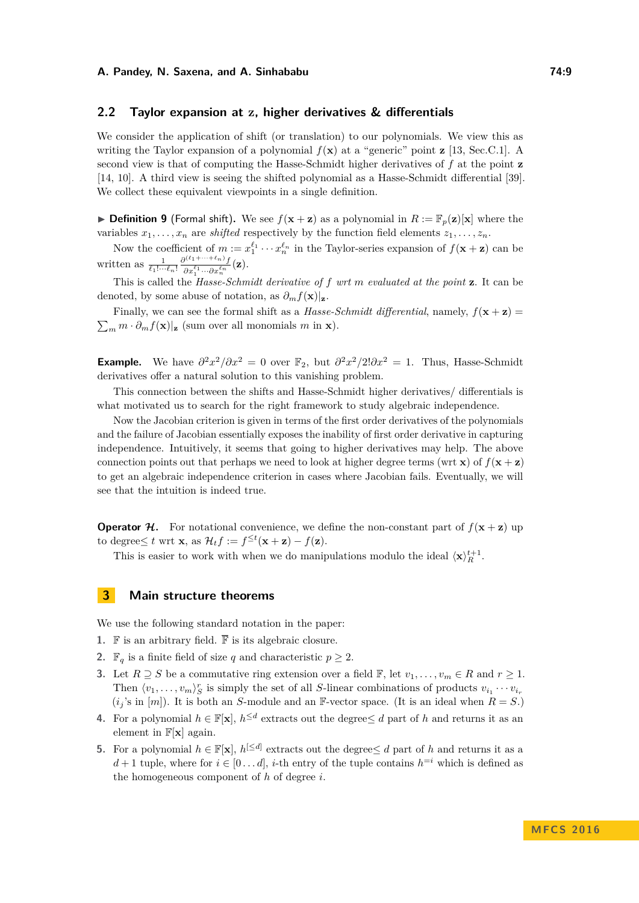## <span id="page-8-0"></span>**2.2 Taylor expansion at z, higher derivatives & differentials**

We consider the application of shift (or translation) to our polynomials. We view this as writing the Taylor expansion of a polynomial  $f(\mathbf{x})$  at a "generic" point **z** [\[13,](#page-12-11) Sec.C.1]. A second view is that of computing the Hasse-Schmidt higher derivatives of *f* at the point **z** [\[14,](#page-12-10) [10\]](#page-12-9). A third view is seeing the shifted polynomial as a Hasse-Schmidt differential [\[39\]](#page-14-4). We collect these equivalent viewpoints in a single definition.

**Definition 9** (Formal shift). We see  $f(x + z)$  as a polynomial in  $R := \mathbb{F}_p(z)[x]$  where the variables  $x_1, \ldots, x_n$  are *shifted* respectively by the function field elements  $z_1, \ldots, z_n$ .

Now the coefficient of  $m := x_1^{\ell_1} \cdots x_n^{\ell_n}$  in the Taylor-series expansion of  $f(\mathbf{x} + \mathbf{z})$  can be written as  $\frac{1}{\ell_1! \cdots \ell_n!} \frac{\partial^{(\ell_1+\cdots+\ell_n)} f}{\partial x_1^{\ell_1} \cdots \partial x_n^{\ell_n}}(\mathbf{z}).$ 

This is called the *Hasse-Schmidt derivative of f wrt m evaluated at the point* **z**. It can be denoted, by some abuse of notation, as  $\partial_m f(\mathbf{x})|_{\mathbf{z}}$ .

Finally, we can see the formal shift as a *Hasse-Schmidt differential*, namely,  $f(\mathbf{x} + \mathbf{z}) =$  $\sum_{m} m \cdot \partial_m f(\mathbf{x})|_{\mathbf{z}}$  (sum over all monomials *m* in **x**).

**Example.** We have  $\partial^2 x^2/\partial x^2 = 0$  over  $\mathbb{F}_2$ , but  $\partial^2 x^2/2!\partial x^2 = 1$ . Thus, Hasse-Schmidt derivatives offer a natural solution to this vanishing problem.

This connection between the shifts and Hasse-Schmidt higher derivatives/ differentials is what motivated us to search for the right framework to study algebraic independence.

Now the Jacobian criterion is given in terms of the first order derivatives of the polynomials and the failure of Jacobian essentially exposes the inability of first order derivative in capturing independence. Intuitively, it seems that going to higher derivatives may help. The above connection points out that perhaps we need to look at higher degree terms (wrt **x**) of  $f(\mathbf{x} + \mathbf{z})$ to get an algebraic independence criterion in cases where Jacobian fails. Eventually, we will see that the intuition is indeed true.

**Operator H.** For notational convenience, we define the non-constant part of  $f(x + z)$  up to degree $\leq t$  wrt **x**, as  $\mathcal{H}_t f := f^{\leq t}(\mathbf{x} + \mathbf{z}) - f(\mathbf{z})$ .

This is easier to work with when we do manipulations modulo the ideal  $\langle \mathbf{x} \rangle_R^{t+1}$ .

# **3 Main structure theorems**

We use the following standard notation in the paper:

- **1.** F is an arbitrary field.  $\overline{\mathbb{F}}$  is its algebraic closure.
- **2.**  $\mathbb{F}_q$  is a finite field of size *q* and characteristic  $p \geq 2$ .
- **3.** Let  $R \supseteq S$  be a commutative ring extension over a field  $\mathbb{F}$ , let  $v_1, \ldots, v_m \in R$  and  $r \geq 1$ . Then  $\langle v_1, \ldots, v_m \rangle_S^r$  is simply the set of all *S*-linear combinations of products  $v_{i_1} \cdots v_{i_r}$  $(i<sub>i</sub>'s$  in [*m*]). It is both an *S*-module and an F-vector space. (It is an ideal when  $R = S$ .)
- **4.** For a polynomial  $h \in \mathbb{F}[\mathbf{x}]$ ,  $h^{\leq d}$  extracts out the degree  $\leq d$  part of *h* and returns it as an element in F[**x**] again.
- **5.** For a polynomial  $h \in \mathbb{F}[\mathbf{x}]$ ,  $h^{[\leq d]}$  extracts out the degree  $\leq d$  part of *h* and returns it as a *d* + 1 tuple, where for  $i \in [0 \dots d]$ , *i*-th entry of the tuple contains  $h^{=i}$  which is defined as the homogeneous component of *h* of degree *i*.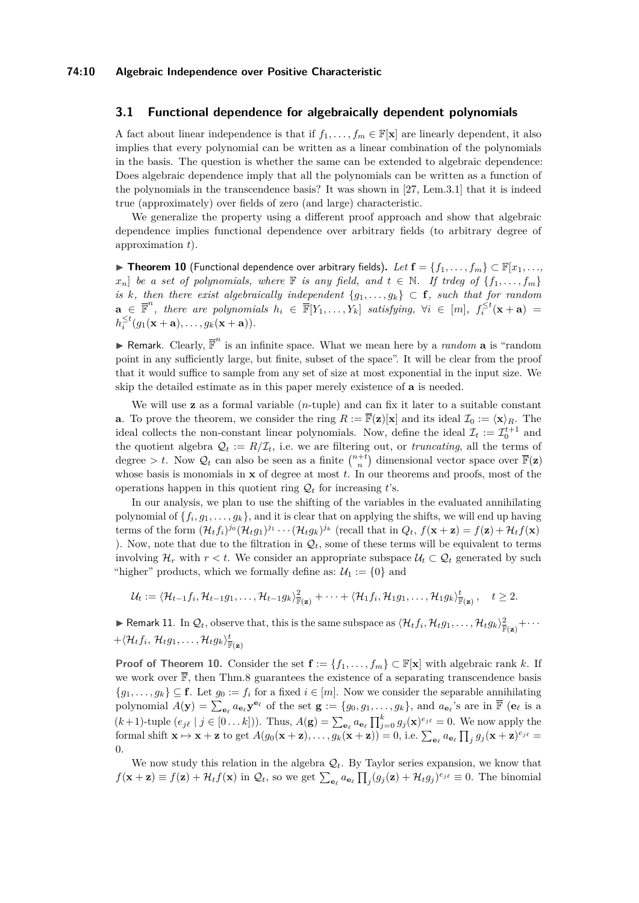#### **3.1 Functional dependence for algebraically dependent polynomials**

A fact about linear independence is that if  $f_1, \ldots, f_m \in \mathbb{F}[\mathbf{x}]$  are linearly dependent, it also implies that every polynomial can be written as a linear combination of the polynomials in the basis. The question is whether the same can be extended to algebraic dependence: Does algebraic dependence imply that all the polynomials can be written as a function of the polynomials in the transcendence basis? It was shown in [\[27,](#page-13-3) Lem.3.1] that it is indeed true (approximately) over fields of zero (and large) characteristic.

We generalize the property using a different proof approach and show that algebraic dependence implies functional dependence over arbitrary fields (to arbitrary degree of approximation *t*).

<span id="page-9-0"></span>▶ Theorem 10 (Functional dependence over arbitrary fields). Let  $f = \{f_1, \ldots, f_m\}$  ⊂  $\mathbb{F}[x_1, \ldots, x_m]$  $x_n$  *be a set of polynomials, where* **F** *is any field, and*  $t \in \mathbb{N}$ *. If trdeg of* {*f*<sub>1</sub>*,..., f<sub>m</sub>*} *is k*, then there exist algebraically independent  $\{g_1, \ldots, g_k\} \subset \mathbf{f}$ , such that for random  $\mathbf{a} \in \mathbb{F}^n$ , there are polynomials  $h_i \in \mathbb{F}[Y_1, \ldots, Y_k]$  satisfying,  $\forall i \in [m]$ ,  $f_i^{\leq t}(\mathbf{x} + \mathbf{a}) =$  $h_i^{\leq t}(g_1(\mathbf{x}+\mathbf{a}), \ldots, g_k(\mathbf{x}+\mathbf{a})).$ 

**F** Remark. Clearly,  $\overline{\mathbb{F}}^n$  is an infinite space. What we mean here by a *random* **a** is "random point in any sufficiently large, but finite, subset of the space". It will be clear from the proof that it would suffice to sample from any set of size at most exponential in the input size. We skip the detailed estimate as in this paper merely existence of **a** is needed.

We will use **z** as a formal variable (*n*-tuple) and can fix it later to a suitable constant **a**. To prove the theorem, we consider the ring  $R := \overline{\mathbb{F}}(\mathbf{z})[\mathbf{x}]$  and its ideal  $\mathcal{I}_0 := \langle \mathbf{x} \rangle_R$ . The ideal collects the non-constant linear polynomials. Now, define the ideal  $\mathcal{I}_t := \mathcal{I}_0^{t+1}$  and the quotient algebra  $\mathcal{Q}_t := R/\mathcal{I}_t$ , i.e. we are filtering out, or *truncating*, all the terms of degree > t. Now  $\mathcal{Q}_t$  can also be seen as a finite  $\binom{n+t}{n}$  dimensional vector space over  $\overline{\mathbb{F}}(\mathbf{z})$ whose basis is monomials in **x** of degree at most *t*. In our theorems and proofs, most of the operations happen in this quotient ring  $\mathcal{Q}_t$  for increasing *t*'s.

In our analysis, we plan to use the shifting of the variables in the evaluated annihilating polynomial of  $\{f_i, g_1, \ldots, g_k\}$ , and it is clear that on applying the shifts, we will end up having terms of the form  $(\mathcal{H}_t f_i)^{j_0} (\mathcal{H}_t g_1)^{j_1} \cdots (\mathcal{H}_t g_k)^{j_k}$  (recall that in  $Q_t$ ,  $f(\mathbf{x} + \mathbf{z}) = f(\mathbf{z}) + \mathcal{H}_t f(\mathbf{x})$ ). Now, note that due to the filtration in  $\mathcal{Q}_t$ , some of these terms will be equivalent to terms involving  $\mathcal{H}_r$  with  $r < t$ . We consider an appropriate subspace  $\mathcal{U}_t \subset \mathcal{Q}_t$  generated by such "higher" products, which we formally define as:  $\mathcal{U}_1 := \{0\}$  and

$$
\mathcal{U}_t:=\langle \mathcal{H}_{t-1}f_i, \mathcal{H}_{t-1}g_1, \ldots, \mathcal{H}_{t-1}g_k \rangle_{\overline{\mathbb{F}}(\mathbf{z})}^2 + \cdots + \langle \mathcal{H}_1f_i, \mathcal{H}_1g_1, \ldots, \mathcal{H}_1g_k \rangle_{\overline{\mathbb{F}}(\mathbf{z})}^t, \quad t \geq 2.
$$

<span id="page-9-1"></span> $\blacktriangleright$  Remark 11. In  $\mathcal{Q}_t$ , observe that, this is the same subspace as  $\langle \mathcal{H}_t f_i, \mathcal{H}_t g_1, \ldots, \mathcal{H}_t g_k \rangle_{\mathbb{F}(\mathbf{z})}^2 + \cdots$  $+\langle \mathcal{H}_t f_i, \, \mathcal{H}_t g_1, \ldots, \mathcal{H}_t g_k \rangle_{\overline{\mathbb{F}}(\mathbf{z})}^{\underline{t}}$ 

**Proof of Theorem [10.](#page-9-0)** Consider the set  $\mathbf{f} := \{f_1, \ldots, f_m\} \subset \mathbb{F}[\mathbf{x}]$  with algebraic rank *k*. If we work over  $\mathbb{\bar{F}}$ , then Thm[.8](#page-7-1) guarantees the existence of a separating transcendence basis  ${g_1, \ldots, g_k} \subseteq \mathbf{f}$ . Let  $g_0 := f_i$  for a fixed  $i \in [m]$ . Now we consider the separable annihilating polynomial  $A(\mathbf{y}) = \sum_{\mathbf{e}_{\ell}} a_{\mathbf{e}_{\ell}} \mathbf{y}^{\mathbf{e}_{\ell}}$  of the set  $\mathbf{g} := \{g_0, g_1, \dots, g_k\}$ , and  $a_{\mathbf{e}_{\ell}}$ 's are in  $\overline{\mathbb{F}}$  ( $\mathbf{e}_{\ell}$  is a  $(k+1)$ -tuple  $(e_{j\ell} \mid j \in [0...k])$ . Thus,  $A(\mathbf{g}) = \sum_{\mathbf{e}_{\ell}} a_{\mathbf{e}_{\ell}} \prod_{j=0}^{k} g_j(\mathbf{x})^{e_{j\ell}} = 0$ . We now apply the formal shift  $\mathbf{x} \mapsto \mathbf{x} + \mathbf{z}$  to get  $A(g_0(\mathbf{x} + \mathbf{z}), \dots, g_k(\mathbf{x} + \mathbf{z})) = 0$ , i.e.  $\sum_{\mathbf{e}_\ell} a_{\mathbf{e}_\ell} \prod_j g_j(\mathbf{x} + \mathbf{z})^{e_{j\ell}} =$ 0.

We now study this relation in the algebra  $\mathcal{Q}_t$ . By Taylor series expansion, we know that  $f(\mathbf{x} + \mathbf{z}) \equiv f(\mathbf{z}) + \mathcal{H}_t f(\mathbf{x})$  in  $\mathcal{Q}_t$ , so we get  $\sum_{\mathbf{e}_{\ell}} a_{\mathbf{e}_{\ell}} \prod_j (g_j(\mathbf{z}) + \mathcal{H}_t g_j)^{e_{j\ell}} \equiv 0$ . The binomial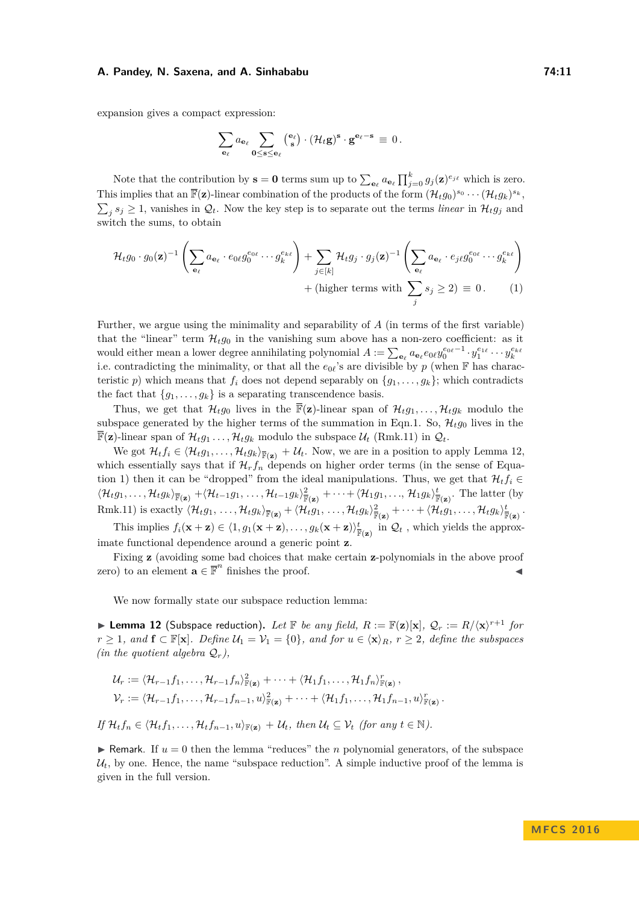expansion gives a compact expression:

<span id="page-10-1"></span>
$$
\sum_{\mathbf{e}_\ell} a_{\mathbf{e}_\ell} \sum_{\mathbf{0}\le \mathbf{s}\le \mathbf{e}_\ell} \left( \begin{smallmatrix} \mathbf{e}_\ell \\ \mathbf{s} \end{smallmatrix} \right) \cdot (\mathcal{H}_t\mathbf{g})^{\mathbf{s}} \cdot \mathbf{g}^{\mathbf{e}_\ell - \mathbf{s}} \, \equiv \, 0 \, .
$$

Note that the contribution by  $\mathbf{s} = \mathbf{0}$  terms sum up to  $\sum_{\mathbf{e}_{\ell}} a_{\mathbf{e}_{\ell}} \prod_{j=0}^{k} g_j(\mathbf{z})^{e_{j\ell}}$  which is zero. This implies that an  $\overline{\mathbb{F}}(\mathbf{z})$ -linear combination of the products of the form  $(\mathcal{H}_t g_0)^{s_0} \cdots (\mathcal{H}_t g_k)^{s_k}$ ,  $\sum_j s_j \geq 1$ , vanishes in  $\mathcal{Q}_t$ . Now the key step is to separate out the terms *linear* in  $\mathcal{H}_t g_j$  and switch the sums, to obtain

$$
\mathcal{H}_t g_0 \cdot g_0(\mathbf{z})^{-1} \left( \sum_{\mathbf{e}_{\ell}} a_{\mathbf{e}_{\ell}} \cdot e_{0\ell} g_0^{e_{0\ell}} \cdots g_k^{e_{k\ell}} \right) + \sum_{j \in [k]} \mathcal{H}_t g_j \cdot g_j(\mathbf{z})^{-1} \left( \sum_{\mathbf{e}_{\ell}} a_{\mathbf{e}_{\ell}} \cdot e_{j\ell} g_0^{e_{0\ell}} \cdots g_k^{e_{k\ell}} \right) + (\text{higher terms with } \sum_j s_j \ge 2) \equiv 0. \tag{1}
$$

Further, we argue using the minimality and separability of *A* (in terms of the first variable) that the "linear" term  $\mathcal{H}_t g_0$  in the vanishing sum above has a non-zero coefficient: as it would either mean a lower degree annihilating polynomial  $A := \sum_{\mathbf{e}_{\ell}} a_{\mathbf{e}_{\ell}} e_0 \ell y_0^{e_0 \ell - 1} \cdot y_1^{e_1 \ell} \cdots y_k^{e_k \ell}$ i.e. contradicting the minimality, or that all the  $e_{0\ell}$ 's are divisible by *p* (when  $\mathbb F$  has characteristic *p*) which means that  $f_i$  does not depend separably on  $\{g_1, \ldots, g_k\}$ ; which contradicts the fact that  ${g_1, \ldots, g_k}$  is a separating transcendence basis.

Thus, we get that  $\mathcal{H}_{t}g_0$  lives in the  $\overline{\mathbb{F}}(\mathbf{z})$ -linear span of  $\mathcal{H}_{t}g_1,\ldots,\mathcal{H}_{t}g_k$  modulo the subspace generated by the higher terms of the summation in Eqn[.1.](#page-10-1) So,  $\mathcal{H}_t g_0$  lives in the  $\overline{\mathbb{F}}(\mathbf{z})$ -linear span of  $\mathcal{H}_t g_1 \ldots, \mathcal{H}_t g_k$  modulo the subspace  $\mathcal{U}_t$  (Rmk[.11\)](#page-9-1) in  $\mathcal{Q}_t$ .

We got  $\mathcal{H}_t f_i \in \langle \mathcal{H}_t g_1, \ldots, \mathcal{H}_t g_k \rangle_{\overline{\mathbb{F}}(\mathbf{z})} + \mathcal{U}_t$ . Now, we are in a position to apply Lemma [12,](#page-10-0) which essentially says that if  $\mathcal{H}_r f_n$  depends on higher order terms (in the sense of Equa-tion [1\)](#page-10-1) then it can be "dropped" from the ideal manipulations. Thus, we get that  $\mathcal{H}_t f_i \in$  $\langle \mathcal{H}_t g_1, \ldots, \mathcal{H}_t g_k \rangle_{\overline{\mathbb{F}}(\mathbf{z})} + \langle \mathcal{H}_{t-1} g_1, \ldots, \mathcal{H}_{t-1} g_k \rangle_{\overline{\mathbb{F}}(\mathbf{z})}^2 + \cdots + \langle \mathcal{H}_1 g_1, \ldots, \mathcal{H}_1 g_k \rangle_{\overline{\mathbb{F}}(\mathbf{z})}^t$ . The latter (by Rmk[.11\)](#page-9-1) is exactly  $\langle \mathcal{H}_t g_1, \ldots, \mathcal{H}_t g_k \rangle_{\overline{\mathbb{F}}(\mathbf{z})} + \langle \mathcal{H}_t g_1, \ldots, \mathcal{H}_t g_k \rangle_{\overline{\mathbb{F}}(\mathbf{z})}^2 + \cdots + \langle \mathcal{H}_t g_1, \ldots, \mathcal{H}_t g_k \rangle_{\overline{\mathbb{F}}(\mathbf{z})}^t$ .

This implies  $f_i(\mathbf{x} + \mathbf{z}) \in \langle 1, g_1(\mathbf{x} + \mathbf{z}), \dots, g_k(\mathbf{x} + \mathbf{z}) \rangle_{\mathbb{F}(\mathbf{z})}^t$  in  $\mathcal{Q}_t$ , which yields the approximate functional dependence around a generic point **z**.

Fixing **z** (avoiding some bad choices that make certain **z**-polynomials in the above proof zero) to an element  $\mathbf{a} \in \mathbb{F}^n$  finishes the proof.

We now formally state our subspace reduction lemma:

<span id="page-10-0"></span>**Example 12** (Subspace reduction). Let F be any field,  $R := \mathbb{F}(\mathbf{z})[\mathbf{x}],$   $\mathcal{Q}_r := R/\langle \mathbf{x} \rangle^{r+1}$  for *r* ≥ 1*, and*  $f$  ⊂  $\mathbb{F}[\mathbf{x}]$ *. Define*  $\mathcal{U}_1 = \mathcal{V}_1 = \{0\}$ *, and for*  $u \in \langle \mathbf{x} \rangle_R$ *, r* ≥ 2*, define the subspaces (in the quotient algebra*  $Q_r$ *),* 

$$
\mathcal{U}_r := \langle \mathcal{H}_{r-1} f_1, \ldots, \mathcal{H}_{r-1} f_n \rangle_{\mathbb{F}(\mathbf{z})}^2 + \cdots + \langle \mathcal{H}_1 f_1, \ldots, \mathcal{H}_1 f_n \rangle_{\mathbb{F}(\mathbf{z})}^r,
$$
  

$$
\mathcal{V}_r := \langle \mathcal{H}_{r-1} f_1, \ldots, \mathcal{H}_{r-1} f_{n-1}, u \rangle_{\mathbb{F}(\mathbf{z})}^2 + \cdots + \langle \mathcal{H}_1 f_1, \ldots, \mathcal{H}_1 f_{n-1}, u \rangle_{\mathbb{F}(\mathbf{z})}^r.
$$

 $I f H_t f_n \in \langle H_t f_1, \ldots, H_t f_{n-1}, u \rangle_{\mathbb{F}(\mathbf{z})} + \mathcal{U}_t$ , then  $\mathcal{U}_t \subset \mathcal{V}_t$  (for any  $t \in \mathbb{N}$ ).

Exercise Remark. If  $u = 0$  then the lemma "reduces" the *n* polynomial generators, of the subspace  $\mathcal{U}_t$ , by one. Hence, the name "subspace reduction". A simple inductive proof of the lemma is given in the full version.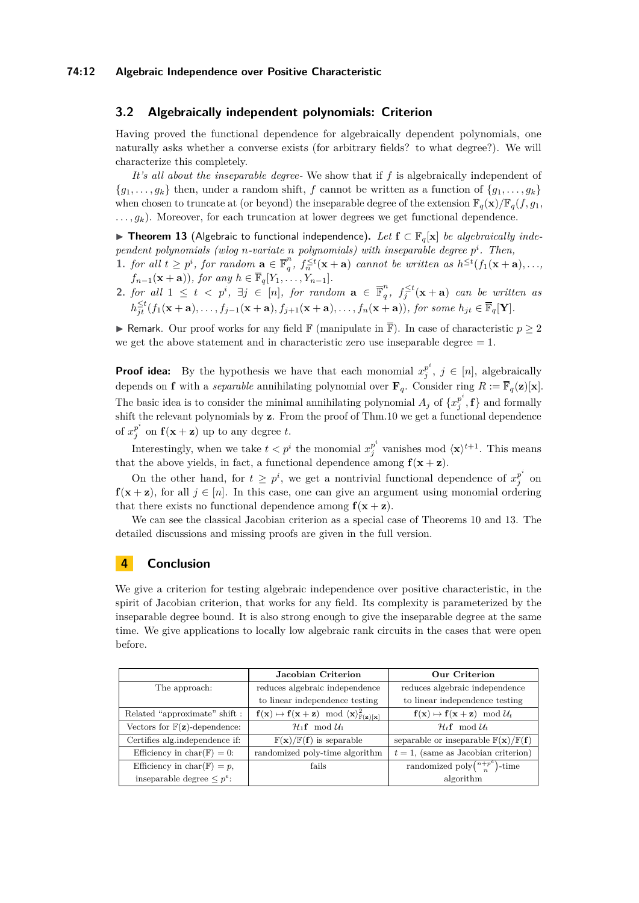## **3.2 Algebraically independent polynomials: Criterion**

Having proved the functional dependence for algebraically dependent polynomials, one naturally asks whether a converse exists (for arbitrary fields? to what degree?). We will characterize this completely.

*It's all about the inseparable degree-* We show that if *f* is algebraically independent of  ${g_1, \ldots, g_k}$  then, under a random shift, *f* cannot be written as a function of  ${g_1, \ldots, g_k}$ when chosen to truncate at (or beyond) the inseparable degree of the extension  $\mathbb{F}_q(\mathbf{x})/\mathbb{F}_q(f, g_1,$  $\dots, g_k$ ). Moreover, for each truncation at lower degrees we get functional dependence.

<span id="page-11-0"></span>I **Theorem 13** (Algebraic to functional independence)**.** *Let* **f** ⊂ F*q*[**x**] *be algebraically independent polynomials (wlog n-variate n polynomials) with inseparable degree p i . Then,*

- 1. *for all*  $t \geq p^i$ , *for random*  $\mathbf{a} \in \overline{\mathbb{F}}_q^n$  $\int_{q}^{n}$ ,  $f_{n}^{\leq t}(\mathbf{x} + \mathbf{a})$  *cannot be written as*  $h^{\leq t}(f_1(\mathbf{x} + \mathbf{a}),...$ *f*<sub>*n*−1</sub>(**x** + **a**))*, for any*  $h \in \overline{\mathbb{F}}_q[Y_1, \ldots, Y_{n-1}]$ *.*
- **2.** *for all*  $1 \leq t < p^i$ ,  $\exists j \in [n]$ , *for random*  $\mathbf{a} \in \mathbb{F}_q^n$  $\int_{q}^{n}$ ,  $f_j^{\leq t}(\mathbf{x} + \mathbf{a})$  *can be written as*  $h_{jt}^{\leq t}(f_1(\mathbf{x}+\mathbf{a}),\ldots,f_{j-1}(\mathbf{x}+\mathbf{a}),f_{j+1}(\mathbf{x}+\mathbf{a}),\ldots,f_n(\mathbf{x}+\mathbf{a})),$  for some  $h_{jt} \in \overline{\mathbb{F}}_q[\mathbf{Y}].$

**► Remark.** Our proof works for any field  $\mathbb{F}$  (manipulate in  $\overline{\mathbb{F}}$ ). In case of characteristic  $p \geq 2$ we get the above statement and in characteristic zero use inseparable degree  $= 1$ .

**Proof idea:** By the hypothesis we have that each monomial  $x_i^{p_i}$  $j^{p}$ ,  $j \in [n]$ , algebraically depends on **f** with a *separable* annihilating polynomial over  $\mathbf{F}_q$ . Consider ring  $R := \overline{\mathbb{F}}_q(\mathbf{z})[\mathbf{x}]$ . The basic idea is to consider the minimal annihilating polynomial  $A_j$  of  $\{x_j^{p^i}\}$  $\binom{p}{j}$ , **f**} and formally shift the relevant polynomials by **z**. From the proof of Thm[.10](#page-9-0) we get a functional dependence of  $x_i^{p^i}$  $\int_{j}^{p}$  on  $f(x + z)$  up to any degree *t*.

Interestingly, when we take  $t < p^i$  the monomial  $x_i^{p^i}$  $\int_j^{p^i}$  vanishes mod  $\langle \mathbf{x} \rangle^{t+1}$ . This means that the above yields, in fact, a functional dependence among  $f(x + z)$ .

On the other hand, for  $t \geq p^i$ , we get a nontrivial functional dependence of  $x_i^{p^i}$  $\frac{p}{j}$  on  $f(x + z)$ , for all  $j \in [n]$ . In this case, one can give an argument using monomial ordering that there exists no functional dependence among  $f(x + z)$ .

We can see the classical Jacobian criterion as a special case of Theorems [10](#page-9-0) and [13.](#page-11-0) The detailed discussions and missing proofs are given in the full version.

## <span id="page-11-1"></span>**4 Conclusion**

We give a criterion for testing algebraic independence over positive characteristic, in the spirit of Jacobian criterion, that works for any field. Its complexity is parameterized by the inseparable degree bound. It is also strong enough to give the inseparable degree at the same time. We give applications to locally low algebraic rank circuits in the cases that were open before.

|                                                   | Jacobian Criterion                                                | Our Criterion                                                            |
|---------------------------------------------------|-------------------------------------------------------------------|--------------------------------------------------------------------------|
| The approach:                                     | reduces algebraic independence                                    | reduces algebraic independence                                           |
|                                                   | to linear independence testing                                    | to linear independence testing                                           |
| Related "approximate" shift:                      | $f(x) \mapsto f(x+z) \mod \langle x \rangle_{\mathbb{F}(z)[x]}^2$ | $f(x) \mapsto f(x+z) \mod \mathcal{U}_t$                                 |
| Vectors for $\mathbb{F}(\mathbf{z})$ -dependence: | $\mathcal{H}_1$ <b>f</b> mod $\mathcal{U}_1$                      | $\mathcal{H}_t$ f mod $\mathcal{U}_t$                                    |
| Certifies alg.independence if:                    | $\mathbb{F}(\mathbf{x})/\mathbb{F}(\mathbf{f})$ is separable      | separable or inseparable $\mathbb{F}(\mathbf{x})/\mathbb{F}(\mathbf{f})$ |
| Efficiency in char( $\mathbb{F}$ ) = 0:           | randomized poly-time algorithm                                    | $t=1$ , (same as Jacobian criterion)                                     |
| Efficiency in char( $\mathbb{F}$ ) = p,           | fails                                                             | randomized poly $\binom{n+p^e}{n}$ -time                                 |
| inseparable degree $\leq p^e$ :                   |                                                                   | algorithm                                                                |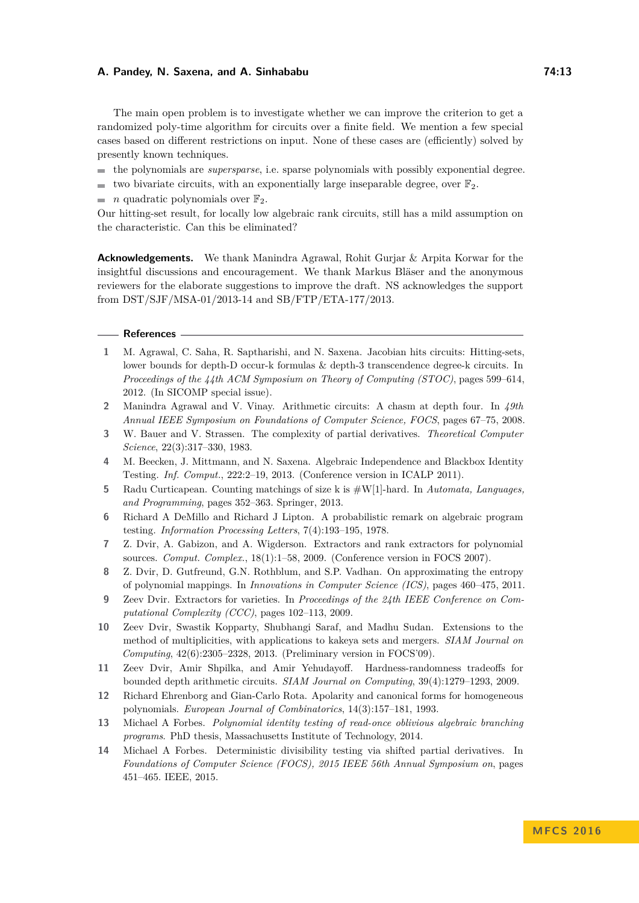The main open problem is to investigate whether we can improve the criterion to get a randomized poly-time algorithm for circuits over a finite field. We mention a few special cases based on different restrictions on input. None of these cases are (efficiently) solved by presently known techniques.

- the polynomials are *supersparse*, i.e. sparse polynomials with possibly exponential degree.
- two bivariate circuits, with an exponentially large inseparable degree, over  $\mathbb{F}_2$ .
- *n* quadratic polynomials over  $\mathbb{F}_2$ . m.

Our hitting-set result, for locally low algebraic rank circuits, still has a mild assumption on the characteristic. Can this be eliminated?

**Acknowledgements.** We thank Manindra Agrawal, Rohit Gurjar & Arpita Korwar for the insightful discussions and encouragement. We thank Markus Bläser and the anonymous reviewers for the elaborate suggestions to improve the draft. NS acknowledges the support from DST/SJF/MSA-01/2013-14 and SB/FTP/ETA-177/2013.

#### **References**

- <span id="page-12-4"></span>**1** M. Agrawal, C. Saha, R. Saptharishi, and N. Saxena. Jacobian hits circuits: Hitting-sets, lower bounds for depth-D occur-k formulas & depth-3 transcendence degree-k circuits. In *Proceedings of the 44th ACM Symposium on Theory of Computing (STOC)*, pages 599–614, 2012. (In SICOMP special issue).
- <span id="page-12-12"></span>**2** Manindra Agrawal and V. Vinay. Arithmetic circuits: A chasm at depth four. In *49th Annual IEEE Symposium on Foundations of Computer Science, FOCS*, pages 67–75, 2008.
- <span id="page-12-6"></span>**3** W. Bauer and V. Strassen. The complexity of partial derivatives. *Theoretical Computer Science*, 22(3):317–330, 1983.
- <span id="page-12-3"></span>**4** M. Beecken, J. Mittmann, and N. Saxena. Algebraic Independence and Blackbox Identity Testing. *Inf. Comput.*, 222:2–19, 2013. (Conference version in ICALP 2011).
- <span id="page-12-5"></span>**5** Radu Curticapean. Counting matchings of size k is #W[1]-hard. In *Automata, Languages, and Programming*, pages 352–363. Springer, 2013.
- <span id="page-12-7"></span>**6** Richard A DeMillo and Richard J Lipton. A probabilistic remark on algebraic program testing. *Information Processing Letters*, 7(4):193–195, 1978.
- <span id="page-12-0"></span>**7** Z. Dvir, A. Gabizon, and A. Wigderson. Extractors and rank extractors for polynomial sources. *Comput. Complex.*, 18(1):1–58, 2009. (Conference version in FOCS 2007).
- <span id="page-12-2"></span>**8** Z. Dvir, D. Gutfreund, G.N. Rothblum, and S.P. Vadhan. On approximating the entropy of polynomial mappings. In *Innovations in Computer Science (ICS)*, pages 460–475, 2011.
- <span id="page-12-1"></span>**9** Zeev Dvir. Extractors for varieties. In *Proceedings of the 24th IEEE Conference on Computational Complexity (CCC)*, pages 102–113, 2009.
- <span id="page-12-9"></span>**10** Zeev Dvir, Swastik Kopparty, Shubhangi Saraf, and Madhu Sudan. Extensions to the method of multiplicities, with applications to kakeya sets and mergers. *SIAM Journal on Computing*, 42(6):2305–2328, 2013. (Preliminary version in FOCS'09).
- <span id="page-12-13"></span>**11** Zeev Dvir, Amir Shpilka, and Amir Yehudayoff. Hardness-randomness tradeoffs for bounded depth arithmetic circuits. *SIAM Journal on Computing*, 39(4):1279–1293, 2009.
- <span id="page-12-8"></span>**12** Richard Ehrenborg and Gian-Carlo Rota. Apolarity and canonical forms for homogeneous polynomials. *European Journal of Combinatorics*, 14(3):157–181, 1993.
- <span id="page-12-11"></span>**13** Michael A Forbes. *Polynomial identity testing of read-once oblivious algebraic branching programs*. PhD thesis, Massachusetts Institute of Technology, 2014.
- <span id="page-12-10"></span>**14** Michael A Forbes. Deterministic divisibility testing via shifted partial derivatives. In *Foundations of Computer Science (FOCS), 2015 IEEE 56th Annual Symposium on*, pages 451–465. IEEE, 2015.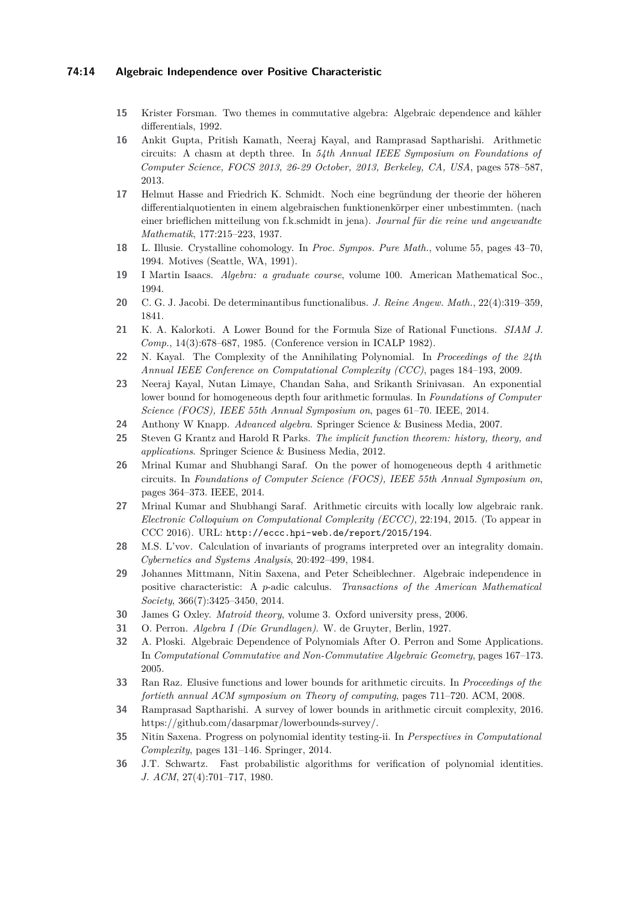### **74:14 Algebraic Independence over Positive Characteristic**

- <span id="page-13-9"></span>**15** Krister Forsman. Two themes in commutative algebra: Algebraic dependence and kähler differentials, 1992.
- <span id="page-13-13"></span>**16** Ankit Gupta, Pritish Kamath, Neeraj Kayal, and Ramprasad Saptharishi. Arithmetic circuits: A chasm at depth three. In *54th Annual IEEE Symposium on Foundations of Computer Science, FOCS 2013, 26-29 October, 2013, Berkeley, CA, USA*, pages 578–587, 2013.
- <span id="page-13-12"></span>**17** Helmut Hasse and Friedrich K. Schmidt. Noch eine begründung der theorie der höheren differentialquotienten in einem algebraischen funktionenkörper einer unbestimmten. (nach einer brieflichen mitteilung von f.k.schmidt in jena). *Journal für die reine und angewandte Mathematik*, 177:215–223, 1937.
- <span id="page-13-11"></span>**18** L. Illusie. Crystalline cohomology. In *Proc. Sympos. Pure Math.*, volume 55, pages 43–70, 1994. Motives (Seattle, WA, 1991).
- <span id="page-13-20"></span>**19** I Martin Isaacs. *Algebra: a graduate course*, volume 100. American Mathematical Soc., 1994.
- <span id="page-13-7"></span>**20** C. G. J. Jacobi. De determinantibus functionalibus. *J. Reine Angew. Math.*, 22(4):319–359, 1841.
- <span id="page-13-2"></span>**21** K. A. Kalorkoti. A Lower Bound for the Formula Size of Rational Functions. *SIAM J. Comp.*, 14(3):678–687, 1985. (Conference version in ICALP 1982).
- <span id="page-13-6"></span>**22** N. Kayal. The Complexity of the Annihilating Polynomial. In *Proceedings of the 24th Annual IEEE Conference on Computational Complexity (CCC)*, pages 184–193, 2009.
- <span id="page-13-17"></span>**23** Neeraj Kayal, Nutan Limaye, Chandan Saha, and Srikanth Srinivasan. An exponential lower bound for homogeneous depth four arithmetic formulas. In *Foundations of Computer Science (FOCS), IEEE 55th Annual Symposium on*, pages 61–70. IEEE, 2014.
- <span id="page-13-21"></span>**24** Anthony W Knapp. *Advanced algebra*. Springer Science & Business Media, 2007.
- <span id="page-13-19"></span>**25** Steven G Krantz and Harold R Parks. *The implicit function theorem: history, theory, and applications*. Springer Science & Business Media, 2012.
- <span id="page-13-16"></span>**26** Mrinal Kumar and Shubhangi Saraf. On the power of homogeneous depth 4 arithmetic circuits. In *Foundations of Computer Science (FOCS), IEEE 55th Annual Symposium on*, pages 364–373. IEEE, 2014.
- <span id="page-13-3"></span>**27** Mrinal Kumar and Shubhangi Saraf. Arithmetic circuits with locally low algebraic rank. *Electronic Colloquium on Computational Complexity (ECCC)*, 22:194, 2015. (To appear in CCC 2016). URL: <http://eccc.hpi-web.de/report/2015/194>.
- <span id="page-13-1"></span>**28** M.S. L'vov. Calculation of invariants of programs interpreted over an integrality domain. *Cybernetics and Systems Analysis*, 20:492–499, 1984.
- <span id="page-13-10"></span>**29** Johannes Mittmann, Nitin Saxena, and Peter Scheiblechner. Algebraic independence in positive characteristic: A *p*-adic calculus. *Transactions of the American Mathematical Society*, 366(7):3425–3450, 2014.
- <span id="page-13-0"></span>**30** James G Oxley. *Matroid theory*, volume 3. Oxford university press, 2006.
- <span id="page-13-4"></span>**31** O. Perron. *Algebra I (Die Grundlagen)*. W. de Gruyter, Berlin, 1927.
- <span id="page-13-5"></span>**32** A. Płoski. Algebraic Dependence of Polynomials After O. Perron and Some Applications. In *Computational Commutative and Non-Commutative Algebraic Geometry*, pages 167–173. 2005.
- <span id="page-13-18"></span>**33** Ran Raz. Elusive functions and lower bounds for arithmetic circuits. In *Proceedings of the fortieth annual ACM symposium on Theory of computing*, pages 711–720. ACM, 2008.
- <span id="page-13-14"></span>**34** Ramprasad Saptharishi. A survey of lower bounds in arithmetic circuit complexity, 2016. https://github.com/dasarpmar/lowerbounds-survey/.
- <span id="page-13-15"></span>**35** Nitin Saxena. Progress on polynomial identity testing-ii. In *Perspectives in Computational Complexity*, pages 131–146. Springer, 2014.
- <span id="page-13-8"></span>**36** J.T. Schwartz. Fast probabilistic algorithms for verification of polynomial identities. *J. ACM*, 27(4):701–717, 1980.